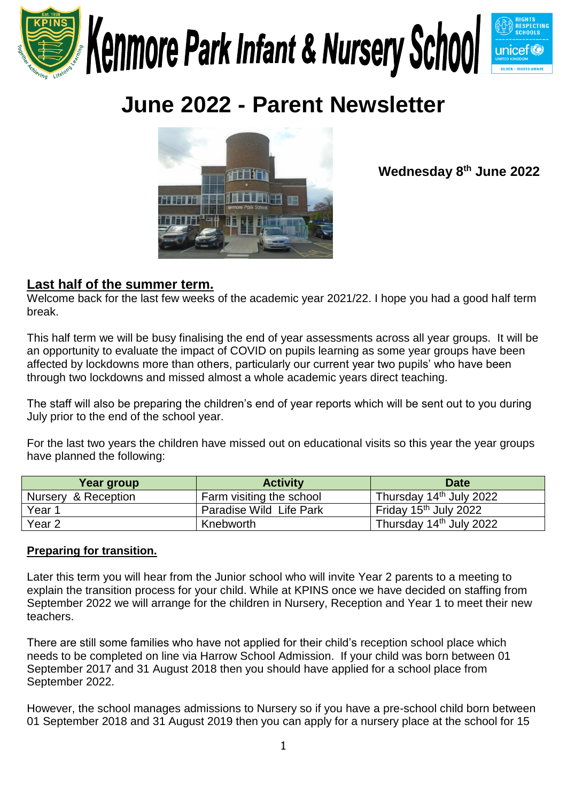

# **June 2022 - Parent Newsletter**



**Wednesday 8 th June 2022**

# **Last half of the summer term.**

Welcome back for the last few weeks of the academic year 2021/22. I hope you had a good half term break.

This half term we will be busy finalising the end of year assessments across all year groups. It will be an opportunity to evaluate the impact of COVID on pupils learning as some year groups have been affected by lockdowns more than others, particularly our current year two pupils' who have been through two lockdowns and missed almost a whole academic years direct teaching.

The staff will also be preparing the children's end of year reports which will be sent out to you during July prior to the end of the school year.

For the last two years the children have missed out on educational visits so this year the year groups have planned the following:

| Year group          | <b>Activity</b>          | <b>Date</b>                         |
|---------------------|--------------------------|-------------------------------------|
| Nursery & Reception | Farm visiting the school | Thursday 14 <sup>th</sup> July 2022 |
| Year 1              | Paradise Wild Life Park  | Friday 15 <sup>th</sup> July 2022   |
| Year 2              | Knebworth                | Thursday 14th July 2022             |

### **Preparing for transition.**

Later this term you will hear from the Junior school who will invite Year 2 parents to a meeting to explain the transition process for your child. While at KPINS once we have decided on staffing from September 2022 we will arrange for the children in Nursery, Reception and Year 1 to meet their new teachers.

There are still some families who have not applied for their child's reception school place which needs to be completed on line via Harrow School Admission. If your child was born between 01 September 2017 and 31 August 2018 then you should have applied for a school place from September 2022.

However, the school manages admissions to Nursery so if you have a pre-school child born between 01 September 2018 and 31 August 2019 then you can apply for a nursery place at the school for 15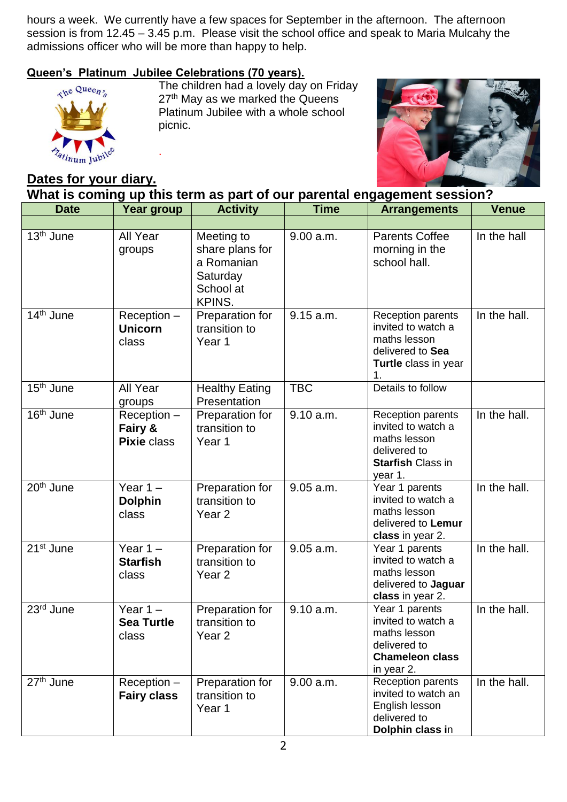hours a week. We currently have a few spaces for September in the afternoon. The afternoon session is from 12.45 – 3.45 p.m. Please visit the school office and speak to Maria Mulcahy the admissions officer who will be more than happy to help.

# **Queen's Platinum Jubilee Celebrations (70 years).**

.



The children had a lovely day on Friday 27<sup>th</sup> May as we marked the Queens Platinum Jubilee with a whole school picnic.



# **Dates for your diary.**

**What is coming up this term as part of our parental engagement session?**

| <b>Date</b>           | Year group                                     | <b>Activity</b>                                                                       | <b>Time</b> | <b>Arrangements</b>                                                                                                   | <b>Venue</b> |
|-----------------------|------------------------------------------------|---------------------------------------------------------------------------------------|-------------|-----------------------------------------------------------------------------------------------------------------------|--------------|
| 13 <sup>th</sup> June | All Year<br>groups                             | Meeting to<br>share plans for<br>a Romanian<br>Saturday<br>School at<br><b>KPINS.</b> | 9.00 a.m.   | <b>Parents Coffee</b><br>morning in the<br>school hall.                                                               | In the hall  |
| 14 <sup>th</sup> June | Reception -<br><b>Unicorn</b><br>class         | Preparation for<br>transition to<br>Year 1                                            | 9.15 a.m.   | Reception parents<br>invited to watch a<br>maths lesson<br>delivered to Sea<br>Turtle class in year<br>1.             | In the hall. |
| 15 <sup>th</sup> June | All Year<br>groups                             | <b>Healthy Eating</b><br>Presentation                                                 | <b>TBC</b>  | Details to follow                                                                                                     |              |
| 16 <sup>th</sup> June | $Reception -$<br>Fairy &<br><b>Pixie class</b> | Preparation for<br>transition to<br>Year 1                                            | 9.10 a.m.   | <b>Reception parents</b><br>invited to watch a<br>maths lesson<br>delivered to<br><b>Starfish Class in</b><br>year 1. | In the hall. |
| 20 <sup>th</sup> June | Year $1 -$<br><b>Dolphin</b><br>class          | Preparation for<br>transition to<br>Year <sub>2</sub>                                 | 9.05 a.m.   | Year 1 parents<br>invited to watch a<br>maths lesson<br>delivered to Lemur<br>class in year 2.                        | In the hall. |
| 21 <sup>st</sup> June | Year $1 -$<br><b>Starfish</b><br>class         | Preparation for<br>transition to<br>Year <sub>2</sub>                                 | 9.05 a.m.   | Year 1 parents<br>invited to watch a<br>maths lesson<br>delivered to Jaguar<br>class in year 2.                       | In the hall. |
| 23rd June             | Year $1 -$<br><b>Sea Turtle</b><br>class       | Preparation for<br>transition to<br>Year <sub>2</sub>                                 | 9.10 a.m.   | Year 1 parents<br>invited to watch a<br>maths lesson<br>delivered to<br><b>Chameleon class</b><br>in year 2.          | In the hall. |
| 27 <sup>th</sup> June | Reception -<br><b>Fairy class</b>              | Preparation for<br>transition to<br>Year 1                                            | 9.00 a.m.   | Reception parents<br>invited to watch an<br>English lesson<br>delivered to<br>Dolphin class in                        | In the hall. |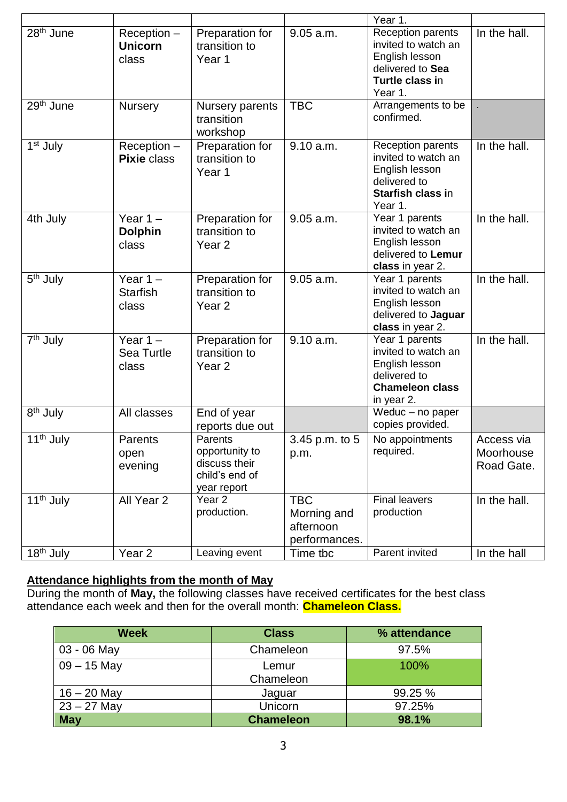|                                    |                                          |                                                                             |                                                         | Year 1.                                                                                                         |                                       |
|------------------------------------|------------------------------------------|-----------------------------------------------------------------------------|---------------------------------------------------------|-----------------------------------------------------------------------------------------------------------------|---------------------------------------|
| 28 <sup>th</sup> June              | $Reception -$<br><b>Unicorn</b><br>class | Preparation for<br>transition to<br>Year 1                                  | 9.05 a.m.                                               | Reception parents<br>invited to watch an<br>English lesson<br>delivered to Sea<br>Turtle class in<br>Year 1.    | In the hall.                          |
| 29 <sup>th</sup> June              | <b>Nursery</b>                           | Nursery parents<br>transition<br>workshop                                   | <b>TBC</b>                                              | Arrangements to be<br>confirmed.                                                                                |                                       |
| 1 <sup>st</sup> July               | Reception -<br><b>Pixie class</b>        | Preparation for<br>transition to<br>Year 1                                  | 9.10 a.m.                                               | Reception parents<br>invited to watch an<br>English lesson<br>delivered to<br>Starfish class in<br>Year 1.      | In the hall.                          |
| 4th July                           | Year $1 -$<br><b>Dolphin</b><br>class    | Preparation for<br>transition to<br>Year <sub>2</sub>                       | 9.05 a.m.                                               | Year 1 parents<br>invited to watch an<br>English lesson<br>delivered to Lemur<br>class in year 2.               | In the hall.                          |
| 5 <sup>th</sup> July               | Year $1 -$<br><b>Starfish</b><br>class   | Preparation for<br>transition to<br>Year <sub>2</sub>                       | 9.05 a.m.                                               | Year 1 parents<br>invited to watch an<br>English lesson<br>delivered to Jaguar<br>class in year 2.              | In the hall.                          |
| 7 <sup>th</sup> July               | Year $1 -$<br>Sea Turtle<br>class        | Preparation for<br>transition to<br>Year <sub>2</sub>                       | 9.10 a.m.                                               | Year 1 parents<br>invited to watch an<br>English lesson<br>delivered to<br><b>Chameleon class</b><br>in year 2. | In the hall.                          |
| $\overline{8}$ <sup>th</sup> July  | All classes                              | End of year<br>reports due out                                              |                                                         | Weduc - no paper<br>copies provided.                                                                            |                                       |
| 11 <sup>th</sup> July              | Parents<br>open<br>evening               | Parents<br>opportunity to<br>discuss their<br>child's end of<br>year report | 3.45 p.m. to 5<br>p.m.                                  | No appointments<br>required.                                                                                    | Access via<br>Moorhouse<br>Road Gate. |
| 11 <sup>th</sup> July              | All Year 2                               | Year <sub>2</sub><br>production.                                            | <b>TBC</b><br>Morning and<br>afternoon<br>performances. | <b>Final leavers</b><br>production                                                                              | In the hall.                          |
| $\overline{18}$ <sup>th</sup> July | Year 2                                   | Leaving event                                                               | Time tbc                                                | Parent invited                                                                                                  | In the hall                           |

### **Attendance highlights from the month of May**

During the month of **May,** the following classes have received certificates for the best class attendance each week and then for the overall month: **Chameleon Class.**

| <b>Week</b>   | <b>Class</b>     | % attendance |
|---------------|------------------|--------------|
| 03 - 06 May   | Chameleon        | 97.5%        |
| $09 - 15$ May | Lemur            | 100%         |
|               | Chameleon        |              |
| $16 - 20$ May | Jaguar           | 99.25 %      |
| $23 - 27$ May | Unicorn          | 97.25%       |
| <b>May</b>    | <b>Chameleon</b> | 98.1%        |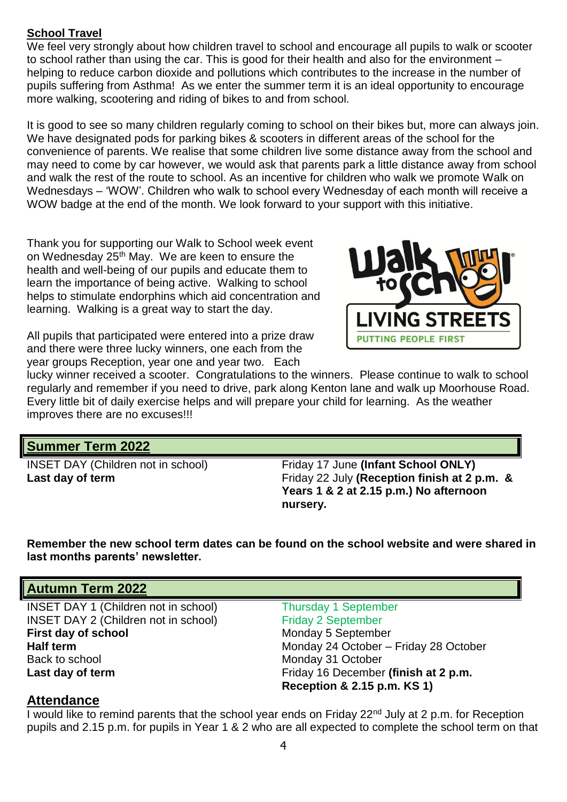# **School Travel**

We feel very strongly about how children travel to school and encourage all pupils to walk or scooter to school rather than using the car. This is good for their health and also for the environment – helping to reduce carbon dioxide and pollutions which contributes to the increase in the number of pupils suffering from Asthma! As we enter the summer term it is an ideal opportunity to encourage more walking, scootering and riding of bikes to and from school.

It is good to see so many children regularly coming to school on their bikes but, more can always join. We have designated pods for parking bikes & scooters in different areas of the school for the convenience of parents. We realise that some children live some distance away from the school and may need to come by car however, we would ask that parents park a little distance away from school and walk the rest of the route to school. As an incentive for children who walk we promote Walk on Wednesdays – 'WOW'. Children who walk to school every Wednesday of each month will receive a WOW badge at the end of the month. We look forward to your support with this initiative.

Thank you for supporting our Walk to School week event on Wednesday 25<sup>th</sup> May. We are keen to ensure the health and well-being of our pupils and educate them to learn the importance of being active. Walking to school helps to stimulate endorphins which aid concentration and learning. Walking is a great way to start the day.

All pupils that participated were entered into a prize draw and there were three lucky winners, one each from the year groups Reception, year one and year two. Each



lucky winner received a scooter. Congratulations to the winners. Please continue to walk to school regularly and remember if you need to drive, park along Kenton lane and walk up Moorhouse Road. Every little bit of daily exercise helps and will prepare your child for learning. As the weather improves there are no excuses!!!

# **Summer Term 2022**

INSET DAY (Children not in school) Friday 17 June **(Infant School ONLY) Last day of term Example 22 July (Reception finish at 2 p.m. &** Friday 22 July **(Reception finish at 2 p.m. & Years 1 & 2 at 2.15 p.m.) No afternoon nursery.**

**Remember the new school term dates can be found on the school website and were shared in last months parents' newsletter.**

## **Autumn Term 2022**

INSET DAY 1 (Children not in school) INSET DAY 2 (Children not in school) **First day of school** Monday 5 September Back to school Monday 31 October **Last day of term** Example 2 p.m. **Friday 16 December (finish at 2 p.m. Example 2 p.m. Friday 16 December (finish at 2 p.m.** 

Thursday 1 September Friday 2 September **Half term** Monday 24 October – Friday 28 October **Reception & 2.15 p.m. KS 1)**

### **Attendance**

I would like to remind parents that the school year ends on Friday 22<sup>nd</sup> July at 2 p.m. for Reception pupils and 2.15 p.m. for pupils in Year 1 & 2 who are all expected to complete the school term on that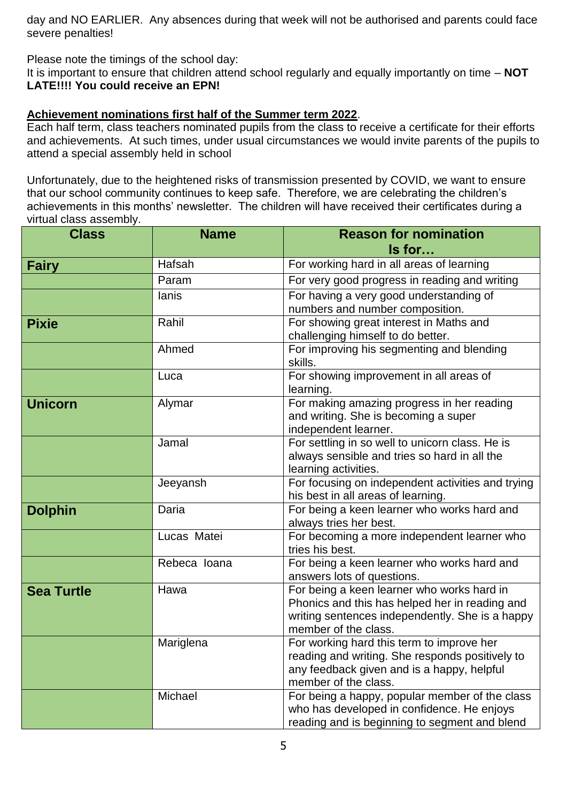day and NO EARLIER. Any absences during that week will not be authorised and parents could face severe penalties!

Please note the timings of the school day:

It is important to ensure that children attend school regularly and equally importantly on time – **NOT LATE!!!! You could receive an EPN!**

## **Achievement nominations first half of the Summer term 2022**.

Each half term, class teachers nominated pupils from the class to receive a certificate for their efforts and achievements. At such times, under usual circumstances we would invite parents of the pupils to attend a special assembly held in school

Unfortunately, due to the heightened risks of transmission presented by COVID, we want to ensure that our school community continues to keep safe. Therefore, we are celebrating the children's achievements in this months' newsletter. The children will have received their certificates during a virtual class assembly.

| <b>Class</b>      | <b>Name</b>  | <b>Reason for nomination</b><br>Is for                                                                                                                                  |  |
|-------------------|--------------|-------------------------------------------------------------------------------------------------------------------------------------------------------------------------|--|
| <b>Fairy</b>      | Hafsah       | For working hard in all areas of learning                                                                                                                               |  |
|                   | Param        | For very good progress in reading and writing                                                                                                                           |  |
|                   | lanis        | For having a very good understanding of<br>numbers and number composition.                                                                                              |  |
| <b>Pixie</b>      | Rahil        | For showing great interest in Maths and<br>challenging himself to do better.                                                                                            |  |
|                   | Ahmed        | For improving his segmenting and blending<br>skills.                                                                                                                    |  |
|                   | Luca         | For showing improvement in all areas of<br>learning.                                                                                                                    |  |
| <b>Unicorn</b>    | Alymar       | For making amazing progress in her reading<br>and writing. She is becoming a super<br>independent learner.                                                              |  |
|                   | Jamal        | For settling in so well to unicorn class. He is<br>always sensible and tries so hard in all the<br>learning activities.                                                 |  |
|                   | Jeeyansh     | For focusing on independent activities and trying<br>his best in all areas of learning.                                                                                 |  |
| <b>Dolphin</b>    | Daria        | For being a keen learner who works hard and<br>always tries her best.                                                                                                   |  |
|                   | Lucas Matei  | For becoming a more independent learner who<br>tries his best.                                                                                                          |  |
|                   | Rebeca Ioana | For being a keen learner who works hard and<br>answers lots of questions.                                                                                               |  |
| <b>Sea Turtle</b> | Hawa         | For being a keen learner who works hard in<br>Phonics and this has helped her in reading and<br>writing sentences independently. She is a happy<br>member of the class. |  |
|                   | Mariglena    | For working hard this term to improve her<br>reading and writing. She responds positively to<br>any feedback given and is a happy, helpful<br>member of the class.      |  |
|                   | Michael      | For being a happy, popular member of the class<br>who has developed in confidence. He enjoys<br>reading and is beginning to segment and blend                           |  |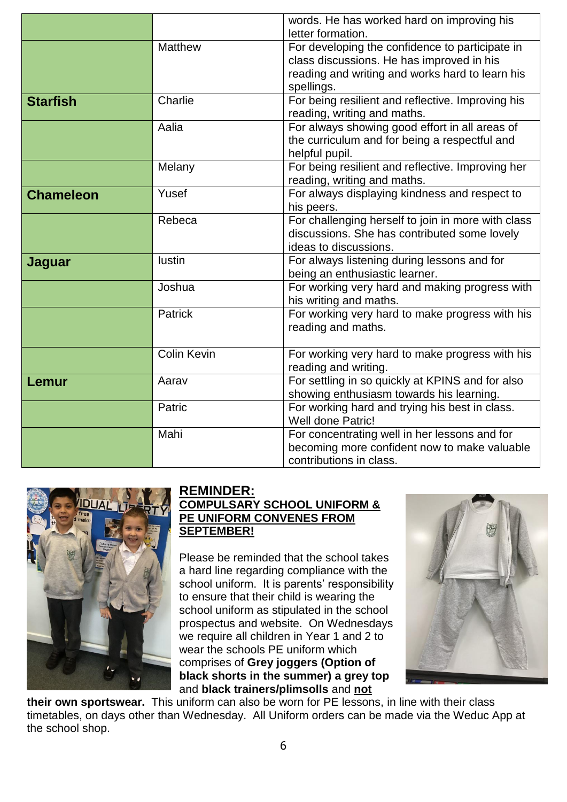|                  |                    | words. He has worked hard on improving his<br>letter formation.                                                                                               |
|------------------|--------------------|---------------------------------------------------------------------------------------------------------------------------------------------------------------|
|                  | <b>Matthew</b>     | For developing the confidence to participate in<br>class discussions. He has improved in his<br>reading and writing and works hard to learn his<br>spellings. |
| <b>Starfish</b>  | Charlie            | For being resilient and reflective. Improving his<br>reading, writing and maths.                                                                              |
|                  | Aalia              | For always showing good effort in all areas of<br>the curriculum and for being a respectful and<br>helpful pupil.                                             |
|                  | Melany             | For being resilient and reflective. Improving her<br>reading, writing and maths.                                                                              |
| <b>Chameleon</b> | Yusef              | For always displaying kindness and respect to<br>his peers.                                                                                                   |
|                  | Rebeca             | For challenging herself to join in more with class<br>discussions. She has contributed some lovely<br>ideas to discussions.                                   |
| Jaguar           | <b>lustin</b>      | For always listening during lessons and for<br>being an enthusiastic learner.                                                                                 |
|                  | Joshua             | For working very hard and making progress with<br>his writing and maths.                                                                                      |
|                  | <b>Patrick</b>     | For working very hard to make progress with his<br>reading and maths.                                                                                         |
|                  | <b>Colin Kevin</b> | For working very hard to make progress with his<br>reading and writing.                                                                                       |
| Lemur            | Aarav              | For settling in so quickly at KPINS and for also<br>showing enthusiasm towards his learning.                                                                  |
|                  | Patric             | For working hard and trying his best in class.<br>Well done Patric!                                                                                           |
|                  | Mahi               | For concentrating well in her lessons and for<br>becoming more confident now to make valuable<br>contributions in class.                                      |



# **REMINDER:**

# **COMPULSARY SCHOOL UNIFORM & PE UNIFORM CONVENES FROM SEPTEMBER!**

Please be reminded that the school takes a hard line regarding compliance with the school uniform. It is parents' responsibility to ensure that their child is wearing the school uniform as stipulated in the school prospectus and website. On Wednesdays we require all children in Year 1 and 2 to wear the schools PE uniform which comprises of **Grey joggers (Option of black shorts in the summer) a grey top** and **black trainers/plimsolls** and **not**



**their own sportswear.** This uniform can also be worn for PE lessons, in line with their class timetables, on days other than Wednesday. All Uniform orders can be made via the Weduc App at the school shop.